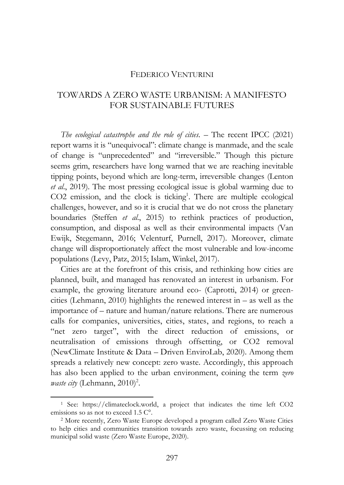## FEDERICO VENTURINI

## TOWARDS A ZERO WASTE URBANISM: A MANIFESTO FOR SUSTAINABLE FUTURES

*The ecological catastrophe and the role of cities. – The recent IPCC (2021)* report warns it is "unequivocal": climate change is manmade, and the scale of change is "unprecedented" and "irreversible." Though this picture seems grim, researchers have long warned that we are reaching inevitable tipping points, beyond which are long-term, irreversible changes (Lenton *et al*., 2019). The most pressing ecological issue is global warming due to CO2 emission, and the clock is ticking<sup>1</sup>. There are multiple ecological challenges, however, and so it is crucial that we do not cross the planetary boundaries (Steffen *et al*., 2015) to rethink practices of production, consumption, and disposal as well as their environmental impacts (Van Ewijk, Stegemann, 2016; Velenturf, Purnell, 2017). Moreover, climate change will disproportionately affect the most vulnerable and low-income populations (Levy, Patz, 2015; Islam, Winkel, 2017).

Cities are at the forefront of this crisis, and rethinking how cities are planned, built, and managed has renovated an interest in urbanism. For example, the growing literature around eco- (Caprotti, 2014) or greencities (Lehmann, 2010) highlights the renewed interest in – as well as the importance of – nature and human/nature relations. There are numerous calls for companies, universities, cities, states, and regions, to reach a "net zero target", with the direct reduction of emissions, or neutralisation of emissions through offsetting, or CO2 removal (NewClimate Institute & Data – Driven EnviroLab, 2020). Among them spreads a relatively new concept: zero waste. Accordingly, this approach has also been applied to the urban environment, coining the term *zero waste city* (Lehmann, 2010)<sup>2</sup>.

<sup>1</sup> See: https://climateclock.world, a project that indicates the time left CO2 emissions so as not to exceed 1.5 C°.

<sup>2</sup> More recently, Zero Waste Europe developed a program called Zero Waste Cities to help cities and communities transition towards zero waste, focussing on reducing municipal solid waste (Zero Waste Europe, 2020).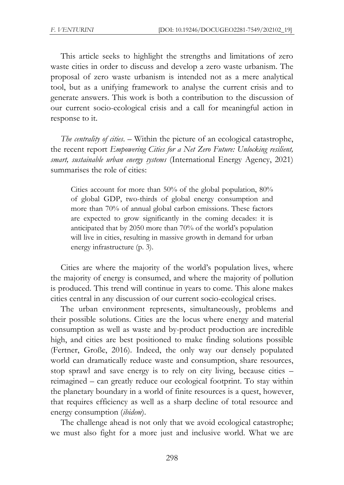This article seeks to highlight the strengths and limitations of zero waste cities in order to discuss and develop a zero waste urbanism. The proposal of zero waste urbanism is intended not as a mere analytical tool, but as a unifying framework to analyse the current crisis and to generate answers. This work is both a contribution to the discussion of our current socio-ecological crisis and a call for meaningful action in response to it.

*The centrality of cities*. – Within the picture of an ecological catastrophe, the recent report *Empowering Cities for a Net Zero Future: Unlocking resilient, smart, sustainable urban energy systems* (International Energy Agency, 2021) summarises the role of cities:

Cities account for more than 50% of the global population, 80% of global GDP, two-thirds of global energy consumption and more than 70% of annual global carbon emissions. These factors are expected to grow significantly in the coming decades: it is anticipated that by 2050 more than 70% of the world's population will live in cities, resulting in massive growth in demand for urban energy infrastructure (p. 3).

Cities are where the majority of the world's population lives, where the majority of energy is consumed, and where the majority of pollution is produced. This trend will continue in years to come. This alone makes cities central in any discussion of our current socio-ecological crises.

The urban environment represents, simultaneously, problems and their possible solutions. Cities are the locus where energy and material consumption as well as waste and by-product production are incredible high, and cities are best positioned to make finding solutions possible (Fertner, Große, 2016). Indeed, the only way our densely populated world can dramatically reduce waste and consumption, share resources, stop sprawl and save energy is to rely on city living, because cities – reimagined – can greatly reduce our ecological footprint. To stay within the planetary boundary in a world of finite resources is a quest, however, that requires efficiency as well as a sharp decline of total resource and energy consumption (*ibidem*).

The challenge ahead is not only that we avoid ecological catastrophe; we must also fight for a more just and inclusive world. What we are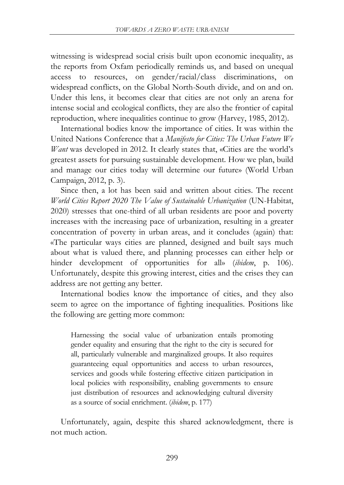witnessing is widespread social crisis built upon economic inequality, as the reports from Oxfam periodically reminds us, and based on unequal access to resources, on gender/racial/class discriminations, on widespread conflicts, on the Global North-South divide, and on and on. Under this lens, it becomes clear that cities are not only an arena for intense social and ecological conflicts, they are also the frontier of capital reproduction, where inequalities continue to grow (Harvey, 1985, 2012).

International bodies know the importance of cities. It was within the United Nations Conference that a *Manifesto for Cities: The Urban Future We Want* was developed in 2012. It clearly states that, «Cities are the world's greatest assets for pursuing sustainable development. How we plan, build and manage our cities today will determine our future» (World Urban Campaign, 2012, p. 3).

Since then, a lot has been said and written about cities. The recent *World Cities Report 2020 The Value of Sustainable Urbanization* (UN-Habitat, 2020) stresses that one-third of all urban residents are poor and poverty increases with the increasing pace of urbanization, resulting in a greater concentration of poverty in urban areas, and it concludes (again) that: «The particular ways cities are planned, designed and built says much about what is valued there, and planning processes can either help or hinder development of opportunities for all» (*ibidem*, p. 106). Unfortunately, despite this growing interest, cities and the crises they can address are not getting any better.

International bodies know the importance of cities, and they also seem to agree on the importance of fighting inequalities. Positions like the following are getting more common:

Harnessing the social value of urbanization entails promoting gender equality and ensuring that the right to the city is secured for all, particularly vulnerable and marginalized groups. It also requires guaranteeing equal opportunities and access to urban resources, services and goods while fostering effective citizen participation in local policies with responsibility, enabling governments to ensure just distribution of resources and acknowledging cultural diversity as a source of social enrichment. (*ibidem*, p. 177)

Unfortunately, again, despite this shared acknowledgment, there is not much action.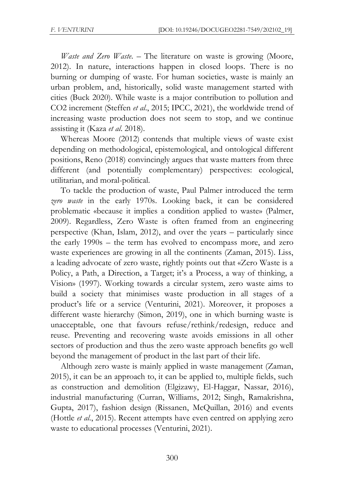*Waste and Zero Waste*. – The literature on waste is growing (Moore, 2012). In nature, interactions happen in closed loops. There is no burning or dumping of waste. For human societies, waste is mainly an urban problem, and, historically, solid waste management started with cities (Buck 2020). While waste is a major contribution to pollution and CO2 increment (Steffen *et al*., 2015; IPCC, 2021), the worldwide trend of increasing waste production does not seem to stop, and we continue assisting it (Kaza *et al*. 2018).

Whereas Moore (2012) contends that multiple views of waste exist depending on methodological, epistemological, and ontological different positions, Reno (2018) convincingly argues that waste matters from three different (and potentially complementary) perspectives: ecological, utilitarian, and moral-political.

To tackle the production of waste, Paul Palmer introduced the term *zero waste* in the early 1970s. Looking back, it can be considered problematic «because it implies a condition applied to waste» (Palmer, 2009). Regardless, Zero Waste is often framed from an engineering perspective (Khan, Islam, 2012), and over the years – particularly since the early 1990s – the term has evolved to encompass more, and zero waste experiences are growing in all the continents (Zaman, 2015). Liss, a leading advocate of zero waste, rightly points out that «Zero Waste is a Policy, a Path, a Direction, a Target; it's a Process, a way of thinking, a Vision» (1997). Working towards a circular system, zero waste aims to build a society that minimises waste production in all stages of a product's life or a service (Venturini, 2021). Moreover, it proposes a different waste hierarchy (Simon, 2019), one in which burning waste is unacceptable, one that favours refuse/rethink/redesign, reduce and reuse. Preventing and recovering waste avoids emissions in all other sectors of production and thus the zero waste approach benefits go well beyond the management of product in the last part of their life.

Although zero waste is mainly applied in waste management (Zaman, 2015), it can be an approach to, it can be applied to, multiple fields, such as construction and demolition (Elgizawy, El-Haggar, Nassar, 2016), industrial manufacturing (Curran, Williams, 2012; Singh, Ramakrishna, Gupta, 2017), fashion design (Rissanen, McQuillan, 2016) and events (Hottle *et al*., 2015). Recent attempts have even centred on applying zero waste to educational processes (Venturini, 2021).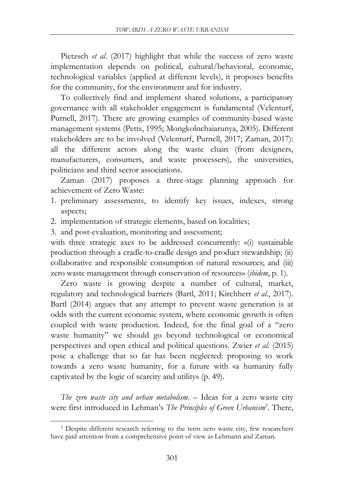Pietzsch *et al*. (2017) highlight that while the success of zero waste implementation depends on political, cultural/behavioral, economic, technological variables (applied at different levels), it proposes benefits for the community, for the environment and for industry.

To collectively find and implement shared solutions, a participatory governance with all stakeholder engagement is fundamental (Velenturf, Purnell, 2017). There are growing examples of community-based waste management systems (Petts, 1995; Mongkolnchaiarunya, 2005). Different stakeholders are to be involved (Velenturf, Purnell, 2017; Zaman, 2017): all the different actors along the waste chain (from designers, manufacturers, consumers, and waste processers), the universities, politicians and third sector associations.

Zaman (2017) proposes a three-stage planning approach for achievement of Zero Waste:

- 1. preliminary assessments, to identify key issues, indexes, strong aspects;
- 2. implementation of strategic elements, based on localities;
- 3. and post-evaluation, monitoring and assessment;

with three strategic axes to be addressed concurrently: «(i) sustainable production through a cradle-to-cradle design and product stewardship; (ii) collaborative and responsible consumption of natural resources; and (iii) zero waste management through conservation of resources» (*ibidem*, p. 1).

Zero waste is growing despite a number of cultural, market, regulatory and technological barriers (Bartl, 2011; Kirchherr *et al*., 2017). Bartl (2014) argues that any attempt to prevent waste generation is at odds with the current economic system, where economic growth is often coupled with waste production. Indeed, for the final goal of a "zero waste humanity" we should go beyond technological or economical perspectives and open ethical and political questions. Zwier *et al.* (2015) pose a challenge that so far has been neglected: proposing to work towards a zero waste humanity, for a future with «a humanity fully captivated by the logic of scarcity and utility» (p. 49).

*The zero waste city and urban metabolism*. – Ideas for a zero waste city were first introduced in Lehman's *The Principles of Green Urbanism*<sup>3</sup> . There,

<sup>&</sup>lt;sup>3</sup> Despite different research referring to the term zero waste city, few researchers have paid attention from a comprehensive point of view as Lehmann and Zaman.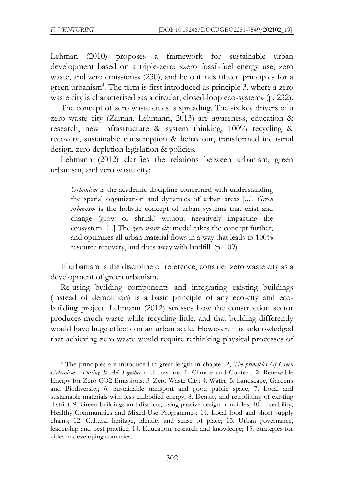Lehman (2010) proposes a framework for sustainable urban development based on a triple-zero: «zero fossil-fuel energy use, zero waste, and zero emissions» (230), and he outlines fifteen principles for a green urbanism<sup>4</sup>. The term is first introduced as principle 3, where a zero waste city is characterised «as a circular, closed-loop eco-system» (p. 232).

The concept of zero waste cities is spreading. The six key drivers of a zero waste city (Zaman, Lehmann, 2013) are awareness, education & research, new infrastructure & system thinking, 100% recycling & recovery, sustainable consumption & behaviour, transformed industrial design, zero depletion legislation & policies.

Lehmann (2012) clarifies the relations between urbanism, green urbanism, and zero waste city:

*Urbanism* is the academic discipline concerned with understanding the spatial organization and dynamics of urban areas [...]. *Green urbanism* is the holistic concept of urban systems that exist and change (grow or shrink) without negatively impacting the ecosystem. [...] The *zero waste city* model takes the concept further, and optimizes all urban material flows in a way that leads to 100% resource recovery, and does away with landfill. (p. 109)

If urbanism is the discipline of reference, consider zero waste city as a development of green urbanism.

Re-using building components and integrating existing buildings (instead of demolition) is a basic principle of any eco-city and ecobuilding project. Lehmann (2012) stresses how the construction sector produces much waste while recycling little, and that building differently would have huge effects on an urban scale. However, it is acknowledged that achieving zero waste would require rethinking physical processes of

<sup>4</sup> The principles are introduced in great length in chapter 2, *The principles Of Green Urbanism - Putting It All Together* and they are: 1. Climate and Context; 2. Renewable Energy for Zero CO2 Emissions; 3. Zero Waste City; 4. Water; 5. Landscape, Gardens and Biodiversity; 6. Sustainable transport and good public space; 7. Local and sustainable materials with less embodied energy; 8. Density and retrofitting of existing district; 9. Green buildings and districts, using passive design principles; 10. Liveability, Healthy Communities and Mixed-Use Programmes; 11. Local food and short supply chains; 12. Cultural heritage, identity and sense of place; 13. Urban governance, leadership and best practice; 14. Education, research and knowledge; 15. Strategies for cities in developing countries.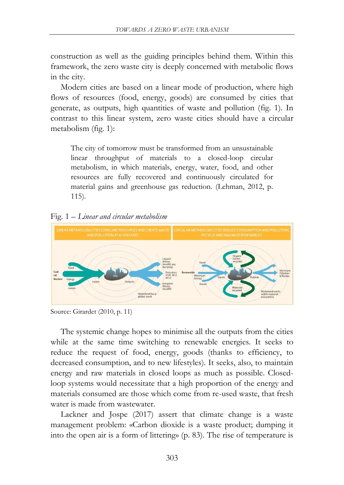construction as well as the guiding principles behind them. Within this framework, the zero waste city is deeply concerned with metabolic flows in the city.

Modern cities are based on a linear mode of production, where high flows of resources (food, energy, goods) are consumed by cities that generate, as outputs, high quantities of waste and pollution (fig. 1). In contrast to this linear system, zero waste cities should have a circular metabolism (fig. 1):

The city of tomorrow must be transformed from an unsustainable linear throughput of materials to a closed-loop circular metabolism, in which materials, energy, water, food, and other resources are fully recovered and continuously circulated for material gains and greenhouse gas reduction. (Lehman, 2012, p. 115).

Fig. 1 *– Linear and circular metabolism*



Source: Girardet (2010, p. 11)

The systemic change hopes to minimise all the outputs from the cities while at the same time switching to renewable energies. It seeks to reduce the request of food, energy, goods (thanks to efficiency, to decreased consumption, and to new lifestyles). It seeks, also, to maintain energy and raw materials in closed loops as much as possible. Closedloop systems would necessitate that a high proportion of the energy and materials consumed are those which come from re-used waste, that fresh water is made from wastewater.

Lackner and Jospe (2017) assert that climate change is a waste management problem: «Carbon dioxide is a waste product; dumping it into the open air is a form of littering» (p. 83). The rise of temperature is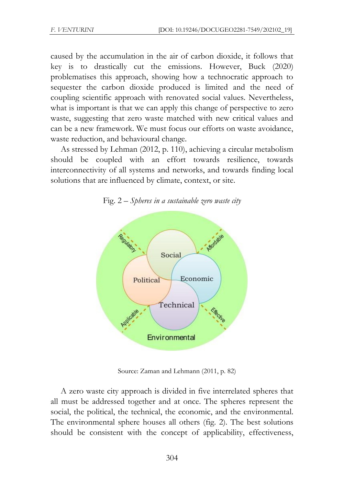caused by the accumulation in the air of carbon dioxide, it follows that key is to drastically cut the emissions. However, Buck (2020) problematises this approach, showing how a technocratic approach to sequester the carbon dioxide produced is limited and the need of coupling scientific approach with renovated social values. Nevertheless, what is important is that we can apply this change of perspective to zero waste, suggesting that zero waste matched with new critical values and can be a new framework. We must focus our efforts on waste avoidance, waste reduction, and behavioural change.

As stressed by Lehman (2012, p. 110), achieving a circular metabolism should be coupled with an effort towards resilience, towards interconnectivity of all systems and networks, and towards finding local solutions that are influenced by climate, context, or site.





Source: Zaman and Lehmann (2011, p. 82)

A zero waste city approach is divided in five interrelated spheres that all must be addressed together and at once. The spheres represent the social, the political, the technical, the economic, and the environmental. The environmental sphere houses all others (fig. 2). The best solutions should be consistent with the concept of applicability, effectiveness,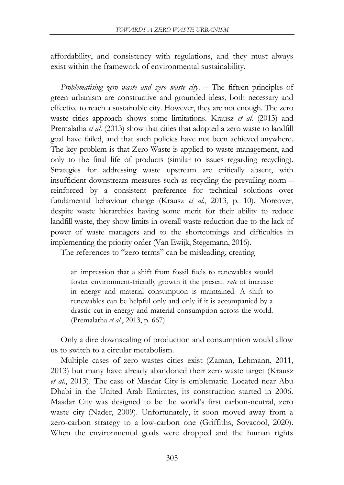affordability, and consistency with regulations, and they must always exist within the framework of environmental sustainability.

*Problematising zero waste and zero waste city*. – The fifteen principles of green urbanism are constructive and grounded ideas, both necessary and effective to reach a sustainable city. However, they are not enough. The zero waste cities approach shows some limitations. Krausz *et al*. (2013) and Premalatha *et al*. (2013) show that cities that adopted a zero waste to landfill goal have failed, and that such policies have not been achieved anywhere. The key problem is that Zero Waste is applied to waste management, and only to the final life of products (similar to issues regarding recycling). Strategies for addressing waste upstream are critically absent, with insufficient downstream measures such as recycling the prevailing norm – reinforced by a consistent preference for technical solutions over fundamental behaviour change (Krausz *et al*., 2013, p. 10). Moreover, despite waste hierarchies having some merit for their ability to reduce landfill waste, they show limits in overall waste reduction due to the lack of power of waste managers and to the shortcomings and difficulties in implementing the priority order (Van Ewijk, Stegemann, 2016).

The references to "zero terms" can be misleading, creating

an impression that a shift from fossil fuels to renewables would foster environment-friendly growth if the present *rate* of increase in energy and material consumption is maintained. A shift to renewables can be helpful only and only if it is accompanied by a drastic cut in energy and material consumption across the world. (Premalatha *et al*., 2013, p. 667)

Only a dire downscaling of production and consumption would allow us to switch to a circular metabolism.

Multiple cases of zero wastes cities exist (Zaman, Lehmann, 2011, 2013) but many have already abandoned their zero waste target (Krausz *et al*., 2013). The case of Masdar City is emblematic. Located near Abu Dhabi in the United Arab Emirates, its construction started in 2006. Masdar City was designed to be the world's first carbon-neutral, zero waste city (Nader, 2009). Unfortunately, it soon moved away from a zero-carbon strategy to a low-carbon one (Griffiths, Sovacool, 2020). When the environmental goals were dropped and the human rights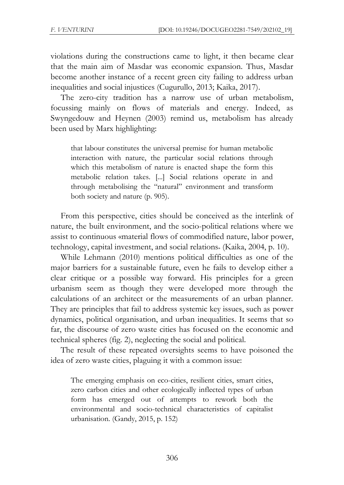violations during the constructions came to light, it then became clear that the main aim of Masdar was economic expansion. Thus, Masdar become another instance of a recent green city failing to address urban inequalities and social injustices (Cugurullo, 2013; Kaika, 2017).

The zero-city tradition has a narrow use of urban metabolism, focussing mainly on flows of materials and energy. Indeed, as Swyngedouw and Heynen (2003) remind us, metabolism has already been used by Marx highlighting:

that labour constitutes the universal premise for human metabolic interaction with nature, the particular social relations through which this metabolism of nature is enacted shape the form this metabolic relation takes. [...] Social relations operate in and through metabolising the "natural" environment and transform both society and nature (p. 905).

From this perspective, cities should be conceived as the interlink of nature, the built environment, and the socio-political relations where we assist to continuous «material flows of commodified nature, labor power, technology, capital investment, and social relations» (Kaika, 2004, p. 10).

While Lehmann (2010) mentions political difficulties as one of the major barriers for a sustainable future, even he fails to develop either a clear critique or a possible way forward. His principles for a green urbanism seem as though they were developed more through the calculations of an architect or the measurements of an urban planner. They are principles that fail to address systemic key issues, such as power dynamics, political organisation, and urban inequalities. It seems that so far, the discourse of zero waste cities has focused on the economic and technical spheres (fig. 2), neglecting the social and political.

The result of these repeated oversights seems to have poisoned the idea of zero waste cities, plaguing it with a common issue:

The emerging emphasis on eco-cities, resilient cities, smart cities, zero carbon cities and other ecologically inflected types of urban form has emerged out of attempts to rework both the environmental and socio-technical characteristics of capitalist urbanisation. (Gandy, 2015, p. 152)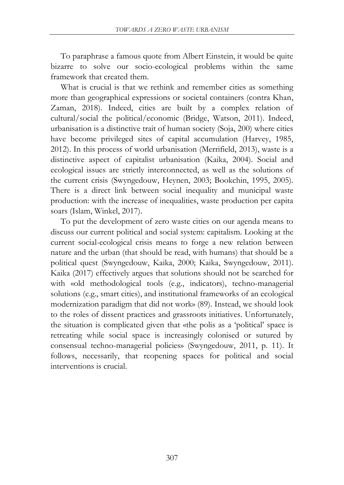To paraphrase a famous quote from Albert Einstein, it would be quite bizarre to solve our socio-ecological problems within the same framework that created them.

What is crucial is that we rethink and remember cities as something more than geographical expressions or societal containers (contra Khan, Zaman, 2018). Indeed, cities are built by a complex relation of cultural/social the political/economic (Bridge, Watson, 2011). Indeed, urbanisation is a distinctive trait of human society (Soja, 200) where cities have become privileged sites of capital accumulation (Harvey, 1985, 2012). In this process of world urbanisation (Merrifield, 2013), waste is a distinctive aspect of capitalist urbanisation (Kaika, 2004). Social and ecological issues are strictly interconnected, as well as the solutions of the current crisis (Swyngedouw, Heynen, 2003; Bookchin, 1995, 2005). There is a direct link between social inequality and municipal waste production: with the increase of inequalities, waste production per capita soars (Islam, Winkel, 2017).

To put the development of zero waste cities on our agenda means to discuss our current political and social system: capitalism. Looking at the current social-ecological crisis means to forge a new relation between nature and the urban (that should be read, with humans) that should be a political quest (Swyngedouw, Kaika, 2000; Kaika, Swyngedouw, 2011). Kaika (2017) effectively argues that solutions should not be searched for with «old methodological tools (e.g., indicators), techno-managerial solutions (e.g., smart cities), and institutional frameworks of an ecological modernization paradigm that did not work» (89). Instead, we should look to the roles of dissent practices and grassroots initiatives. Unfortunately, the situation is complicated given that «the polis as a 'political' space is retreating while social space is increasingly colonised or sutured by consensual techno-managerial policies» (Swyngedouw, 2011, p. 11). It follows, necessarily, that reopening spaces for political and social interventions is crucial.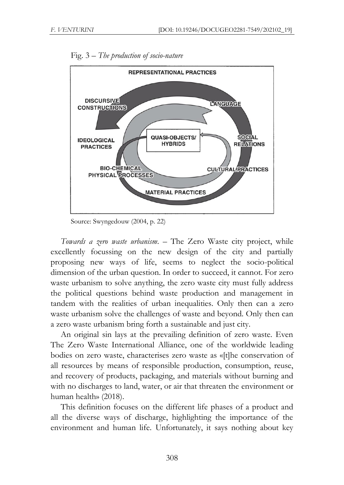

Fig. 3 *– The production of socio-nature*

Source: Swyngedouw (2004, p. 22)

*Towards a zero waste urbanism*. – The Zero Waste city project, while excellently focussing on the new design of the city and partially proposing new ways of life, seems to neglect the socio-political dimension of the urban question. In order to succeed, it cannot. For zero waste urbanism to solve anything, the zero waste city must fully address the political questions behind waste production and management in tandem with the realities of urban inequalities. Only then can a zero waste urbanism solve the challenges of waste and beyond. Only then can a zero waste urbanism bring forth a sustainable and just city.

An original sin lays at the prevailing definition of zero waste. Even The Zero Waste International Alliance, one of the worldwide leading bodies on zero waste, characterises zero waste as «[t]he conservation of all resources by means of responsible production, consumption, reuse, and recovery of products, packaging, and materials without burning and with no discharges to land, water, or air that threaten the environment or human health» (2018).

This definition focuses on the different life phases of a product and all the diverse ways of discharge, highlighting the importance of the environment and human life. Unfortunately, it says nothing about key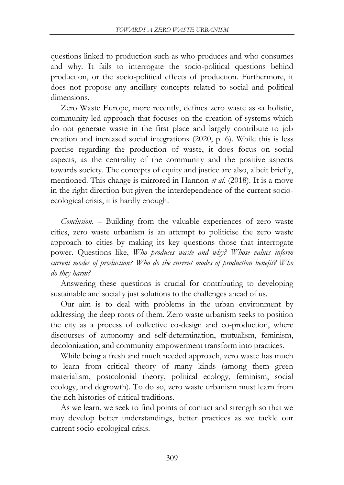questions linked to production such as who produces and who consumes and why. It fails to interrogate the socio-political questions behind production, or the socio-political effects of production. Furthermore, it does not propose any ancillary concepts related to social and political dimensions.

Zero Waste Europe, more recently, defines zero waste as «a holistic, community-led approach that focuses on the creation of systems which do not generate waste in the first place and largely contribute to job creation and increased social integration» (2020, p. 6). While this is less precise regarding the production of waste, it does focus on social aspects, as the centrality of the community and the positive aspects towards society. The concepts of equity and justice are also, albeit briefly, mentioned. This change is mirrored in Hannon *et al*. (2018). It is a move in the right direction but given the interdependence of the current socioecological crisis, it is hardly enough.

*Conclusion*. – Building from the valuable experiences of zero waste cities, zero waste urbanism is an attempt to politicise the zero waste approach to cities by making its key questions those that interrogate power. Questions like, *Who produces waste and why? Whose values inform current modes of production? Who do the current modes of production benefit? Who do they harm?*

Answering these questions is crucial for contributing to developing sustainable and socially just solutions to the challenges ahead of us.

Our aim is to deal with problems in the urban environment by addressing the deep roots of them. Zero waste urbanism seeks to position the city as a process of collective co-design and co-production, where discourses of autonomy and self-determination, mutualism, feminism, decolonization, and community empowerment transform into practices.

While being a fresh and much needed approach, zero waste has much to learn from critical theory of many kinds (among them green materialism, postcolonial theory, political ecology, feminism, social ecology, and degrowth). To do so, zero waste urbanism must learn from the rich histories of critical traditions.

As we learn, we seek to find points of contact and strength so that we may develop better understandings, better practices as we tackle our current socio-ecological crisis.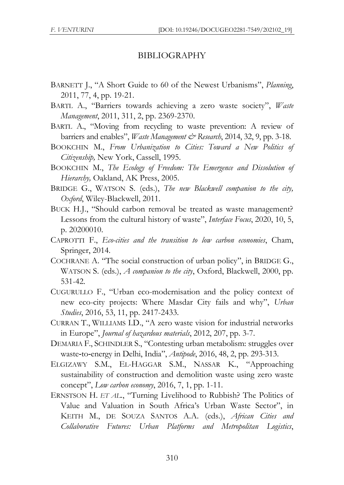## BIBLIOGRAPHY

- BARNETT J., "A Short Guide to 60 of the Newest Urbanisms", *Planning*, 2011, 77, 4, pp. 19-21.
- BARTL A., "Barriers towards achieving a zero waste society", *Waste Management*, 2011, 311, 2, pp. 2369-2370.
- BARTL A., "Moving from recycling to waste prevention: A review of barriers and enables", *Waste Management & Research*, 2014, 32, 9, pp. 3-18.
- BOOKCHIN M., *From Urbanization to Cities: Toward a New Politics of Citizenship,* New York, Cassell, 1995.
- BOOKCHIN M., *The Ecology of Freedom: The Emergence and Dissolution of Hierarchy,* Oakland, AK Press, 2005.
- BRIDGE G., WATSON S. (eds.), *The new Blackwell companion to the city, Oxford*, Wiley-Blackwell, 2011.
- BUCK H.J., "Should carbon removal be treated as waste management? Lessons from the cultural history of waste", *Interface Focus*, 2020, 10, 5, p. 20200010.
- CAPROTTI F., *Eco-cities and the transition to low carbon economies*, Cham, Springer, 2014.
- COCHRANE A. "The social construction of urban policy", in BRIDGE G., WATSON S. (eds.), *A companion to the city*, Oxford, Blackwell, 2000, pp. 531-42.
- CUGURULLO F., "Urban eco-modernisation and the policy context of new eco-city projects: Where Masdar City fails and why", *Urban Studies*, 2016, 53, 11, pp. 2417-2433.
- CURRAN T., WILLIAMS I.D., "A zero waste vision for industrial networks in Europe", *Journal of hazardous materials*, 2012, 207, pp. 3-7.
- DEMARIA F., SCHINDLER S., "Contesting urban metabolism: struggles over waste‐to‐energy in Delhi, India", *Antipode*, 2016, 48, 2, pp. 293-313.
- ELGIZAWY S.M., EL-HAGGAR S.M., NASSAR K., "Approaching sustainability of construction and demolition waste using zero waste concept", *Low carbon economy*, 2016, 7, 1, pp. 1-11.
- ERNSTSON H. *ET AL.*, "Turning Livelihood to Rubbish? The Politics of Value and Valuation in South Africa's Urban Waste Sector", in KEITH M., DE SOUZA SANTOS A.A. (eds.), *African Cities and Collaborative Futures: Urban Platforms and Metropolitan Logistics*,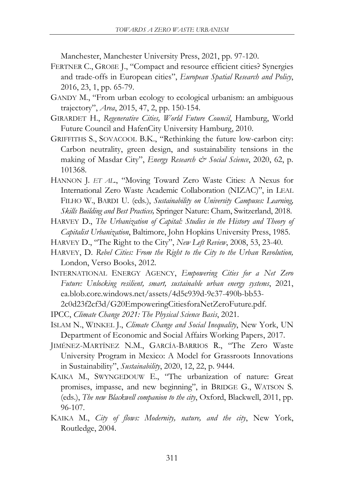Manchester, Manchester University Press, 2021, pp. 97-120.

- FERTNER C., GROßE J., "Compact and resource efficient cities? Synergies and trade-offs in European cities", *European Spatial Research and Policy*, 2016, 23, 1, pp. 65-79.
- GANDY M., "From urban ecology to ecological urbanism: an ambiguous trajectory", *Area*, 2015, 47, 2, pp. 150-154.
- GIRARDET H., *Regenerative Cities, World Future Council*, Hamburg, World Future Council and HafenCity University Hamburg, 2010.
- GRIFFITHS S., SOVACOOL B.K., "Rethinking the future low-carbon city: Carbon neutrality, green design, and sustainability tensions in the making of Masdar City", *Energy Research & Social Science*, 2020, 62, p. 101368.
- HANNON J. *ET AL.*, "Moving Toward Zero Waste Cities: A Nexus for International Zero Waste Academic Collaboration (NIZAC)", in LEAL FILHO W., BARDI U. (eds.), *Sustainability on University Campuses: Learning, Skills Building and Best Practices,* Springer Nature: Cham, Switzerland, 2018.
- HARVEY D., *The Urbanization of Capital: Studies in the History and Theory of Capitalist Urbanization*, Baltimore, John Hopkins University Press, 1985.
- HARVEY D., "The Right to the City", *New Left Review*, 2008, 53, 23-40.
- HARVEY, D. *Rebel Cities: From the Right to the City to the Urban Revolution,* London, Verso Books, 2012.
- INTERNATIONAL ENERGY AGENCY, *Empowering Cities for a Net Zero Future: Unlocking resilient, smart, sustainable urban energy systems*, 2021, ea.blob.core.windows.net/assets/4d5c939d-9c37-490b-bb53- 2c0d23f2cf3d/G20EmpoweringCitiesforaNetZeroFuture.pdf.
- IPCC, *Climate Change 2021: The Physical Science Basis*, 2021.
- ISLAM N., WINKEL J., *Climate Change and Social Inequality*, New York, UN Department of Economic and Social Affairs Working Papers, 2017.
- JIMÉNEZ-MARTÍNEZ N.M., GARCÍA-BARRIOS R., "The Zero Waste University Program in Mexico: A Model for Grassroots Innovations in Sustainability", *Sustainability*, 2020, 12, 22, p. 9444.
- KAIKA M., SWYNGEDOUW E., "The urbanization of nature: Great promises, impasse, and new beginning", in BRIDGE G., WATSON S. (eds.), *The new Blackwell companion to the city*, Oxford, Blackwell, 2011, pp. 96-107.
- KAIKA M., *City of flows: Modernity, nature, and the city*, New York, Routledge, 2004.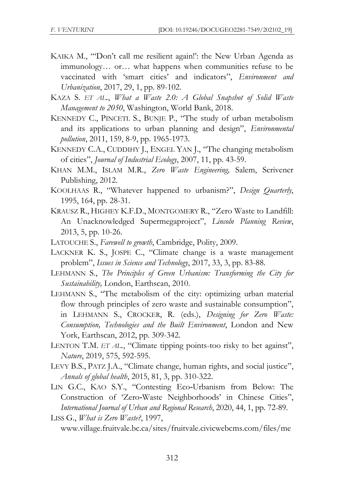- KAIKA M., "'Don't call me resilient again!': the New Urban Agenda as immunology… or… what happens when communities refuse to be vaccinated with 'smart cities' and indicators", *Environment and Urbanization*, 2017, 29, 1, pp. 89-102.
- KAZA S. *ET AL.*, *What a Waste 2.0: A Global Snapshot of Solid Waste Management to 2050*, Washington, World Bank, 2018.
- KENNEDY C., PINCETL S., BUNJE P., "The study of urban metabolism and its applications to urban planning and design", *Environmental pollution*, 2011, 159, 8-9, pp. 1965-1973.
- KENNEDY C.A., CUDDIHY J., ENGEL YAN J., "The changing metabolism of cities", *Journal of Industrial Ecology*, 2007, 11, pp. 43-59.
- KHAN M.M., ISLAM M.R., *Zero Waste Engineering,* Salem, Scrivener Publishing, 2012.
- KOOLHAAS R., "Whatever happened to urbanism?", *Design Quarterly*, 1995, 164, pp. 28-31.
- KRAUSZ R., HIGHEY K.F.D., MONTGOMERY R., "Zero Waste to Landfill: An Unacknowledged Supermegaproject", *Lincoln Planning Review*, 2013, 5, pp. 10-26.
- LATOUCHE S., *Farewell to growth*, Cambridge, Polity, 2009.
- LACKNER K. S., JOSPE C., "Climate change is a waste management problem", *Issues in Science and Technology*, 2017, 33, 3, pp. 83-88.
- LEHMANN S., *The Principles of Green Urbanism: Transforming the City for Sustainability,* London, Earthscan, 2010.
- LEHMANN S., "The metabolism of the city: optimizing urban material flow through principles of zero waste and sustainable consumption", in LEHMANN S., CROCKER, R. (eds.), *Designing for Zero Waste: Consumption, Technologies and the Built Environment*, London and New York, Earthscan, 2012, pp. 309-342.
- LENTON T.M. *ET AL.*, "Climate tipping points-too risky to bet against", *Nature*, 2019, 575, 592-595.
- LEVY B.S., PATZ J.A., "Climate change, human rights, and social justice", *Annals of global health*, 2015, 81, 3, pp. 310-322.
- LIN G.C., KAO S.Y., "Contesting Eco‐Urbanism from Below: The Construction of 'Zero‐Waste Neighborhoods' in Chinese Cities", *International Journal of Urban and Regional Research*, 2020, 44, 1, pp. 72-89. LISS G., *What is Zero Waste?*, 1997,
- www.village.fruitvale.bc.ca/sites/fruitvale.civicwebcms.com/files/me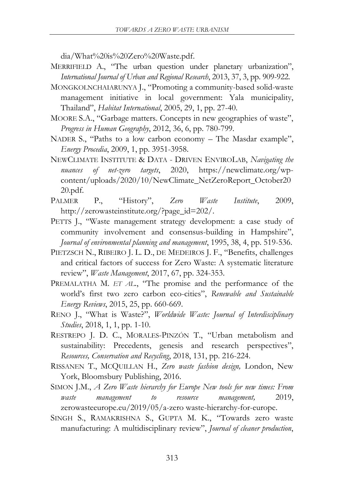dia/What%20is%20Zero%20Waste.pdf.

- MERRIFIELD A., "The urban question under planetary urbanization", *International Journal of Urban and Regional Research*, 2013, 37, 3, pp. 909-922.
- MONGKOLNCHAIARUNYA J., "Promoting a community-based solid-waste management initiative in local government: Yala municipality, Thailand", *Habitat International*, 2005, 29, 1, pp. 27-40.
- MOORE S.A., "Garbage matters. Concepts in new geographies of waste", *Progress in Human Geography*, 2012, 36, 6, pp. 780-799.
- NADER S., "Paths to a low carbon economy The Masdar example", *Energy Procedia*, 2009, 1, pp. 3951-3958.
- NEWCLIMATE INSTITUTE & DATA DRIVEN ENVIROLAB, *Navigating the nuances of net-zero targets*, 2020, https://newclimate.org/wpcontent/uploads/2020/10/NewClimate\_NetZeroReport\_October20 20.pdf.
- PALMER P., "History", *Zero Waste Institute*, 2009, http://zerowasteinstitute.org/?page\_id=202/.
- PETTS J., "Waste management strategy development: a case study of community involvement and consensus-building in Hampshire", *Journal of environmental planning and management*, 1995, 38, 4, pp. 519-536.
- PIETZSCH N., RIBEIRO J. L. D., DE MEDEIROS J. F., "Benefits, challenges and critical factors of success for Zero Waste: A systematic literature review", *Waste Management*, 2017, 67, pp. 324-353.
- PREMALATHA M. *ET AL.*, "The promise and the performance of the world's first two zero carbon eco-cities", *Renewable and Sustainable Energy Reviews*, 2015, 25, pp. 660-669.
- RENO J., "What is Waste?", *Worldwide Waste: Journal of Interdisciplinary Studies*, 2018, 1, 1, pp. 1-10.
- RESTREPO J. D. C., MORALES-PINZÓN T., "Urban metabolism and sustainability: Precedents, genesis and research perspectives", *Resources, Conservation and Recycling*, 2018, 131, pp. 216-224.
- RISSANEN T., MCQUILLAN H., *Zero waste fashion design,* London, New York, Bloomsbury Publishing, 2016.
- SIMON J.M., *A Zero Waste hierarchy for Europe New tools for new times: From waste management to resource management,* 2019, zerowasteeurope.eu/2019/05/a-zero waste-hierarchy-for-europe.
- SINGH S., RAMAKRISHNA S., GUPTA M. K., "Towards zero waste manufacturing: A multidisciplinary review", *Journal of cleaner production*,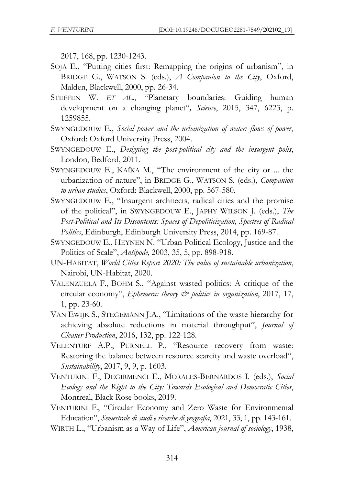2017, 168, pp. 1230-1243.

- SOJA E., "Putting cities first: Remapping the origins of urbanism", in BRIDGE G., WATSON S. (eds.), *A Companion to the City*, Oxford, Malden, Blackwell, 2000, pp. 26-34.
- STEFFEN W. *ET AL.*, "Planetary boundaries: Guiding human development on a changing planet"*, Science*, 2015, 347, 6223, p. 1259855.
- SWYNGEDOUW E., *Social power and the urbanization of water: flows of power*, Oxford: Oxford University Press, 2004.
- SWYNGEDOUW E., *Designing the post-political city and the insurgent polis*, London, Bedford, 2011.
- SWYNGEDOUW E., KAÏKA M., "The environment of the city or ... the urbanization of nature", in BRIDGE G., WATSON S. (eds.), *Companion to urban studies*, Oxford: Blackwell, 2000, pp. 567-580.
- SWYNGEDOUW E., "Insurgent architects, radical cities and the promise of the political", in SWYNGEDOUW E., JAPHY WILSON J. (eds.), *The Post-Political and Its Discontents: Spaces of Depoliticization, Spectres of Radical Politics*, Edinburgh, Edinburgh University Press, 2014, pp. 169-87.
- SWYNGEDOUW E., HEYNEN N. "Urban Political Ecology, Justice and the Politics of Scale", *Antipode,* 2003, 35, 5, pp. 898-918.
- UN-HABITAT, *World Cities Report 2020: The value of sustainable urbanization*, Nairobi, UN-Habitat, 2020.
- VALENZUELA F., BÖHM S., "Against wasted politics: A critique of the circular economy", *Ephemera: theory & politics in organization*, 2017, 17, 1, pp. 23-60.
- VAN EWIJK S., STEGEMANN J.A., "Limitations of the waste hierarchy for achieving absolute reductions in material throughput", *Journal of Cleaner Production*, 2016, 132, pp. 122-128.
- VELENTURF A.P., PURNELL P., "Resource recovery from waste: Restoring the balance between resource scarcity and waste overload", *Sustainability*, 2017, 9, 9, p. 1603.
- VENTURINI F., DEGIRMENCI E., MORALES-BERNARDOS I. (eds.), *Social Ecology and the Right to the City: Towards Ecological and Democratic Cities*, Montreal, Black Rose books, 2019.
- VENTURINI F., "Circular Economy and Zero Waste for Environmental Education", *Semestrale di studi e ricerche di geografia*, 2021, 33, 1, pp. 143-161.
- WIRTH L., "Urbanism as a Way of Life", *American journal of sociology*, 1938,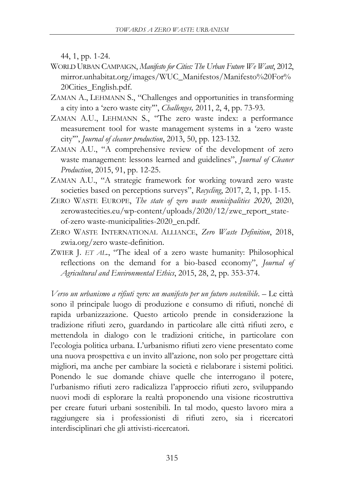44, 1, pp. 1-24.

- WORLD URBAN CAMPAIGN, *Manifesto for Cities: The Urban Future We Want*, 2012, mirror.unhabitat.org/images/WUC\_Manifestos/Manifesto%20For% 20Cities\_English.pdf.
- ZAMAN A., LEHMANN S., "Challenges and opportunities in transforming a city into a 'zero waste city'", *Challenges,* 2011, 2, 4, pp. 73-93.
- ZAMAN A.U., LEHMANN S., "The zero waste index: a performance measurement tool for waste management systems in a 'zero waste city'", *Journal of cleaner production*, 2013, 50, pp. 123-132.
- ZAMAN A.U., "A comprehensive review of the development of zero waste management: lessons learned and guidelines", *Journal of Cleaner Production*, 2015, 91, pp. 12-25.
- ZAMAN A.U., "A strategic framework for working toward zero waste societies based on perceptions surveys", *Recycling*, 2017, 2, 1, pp. 1-15.
- ZERO WASTE EUROPE, *The state of zero waste municipalities 2020*, 2020, zerowastecities.eu/wp-content/uploads/2020/12/zwe\_report\_stateof-zero waste-municipalities-2020\_en.pdf.
- ZERO WASTE INTERNATIONAL ALLIANCE, *Zero Waste Definition*, 2018, zwia.org/zero waste-definition.
- ZWIER J. *ET AL.*, "The ideal of a zero waste humanity: Philosophical reflections on the demand for a bio-based economy", *Journal of Agricultural and Environmental Ethics*, 2015, 28, 2, pp. 353-374.

*Verso un urbanismo a rifiuti zero: un manifesto per un futuro sostenibile*. – Le città sono il principale luogo di produzione e consumo di rifiuti, nonché di rapida urbanizzazione. Questo articolo prende in considerazione la tradizione rifiuti zero, guardando in particolare alle città rifiuti zero, e mettendola in dialogo con le tradizioni critiche, in particolare con l'ecologia politica urbana. L'urbanismo rifiuti zero viene presentato come una nuova prospettiva e un invito all'azione, non solo per progettare città migliori, ma anche per cambiare la società e rielaborare i sistemi politici. Ponendo le sue domande chiave quelle che interrogano il potere, l'urbanismo rifiuti zero radicalizza l'approccio rifiuti zero, sviluppando nuovi modi di esplorare la realtà proponendo una visione ricostruttiva per creare futuri urbani sostenibili. In tal modo, questo lavoro mira a raggiungere sia i professionisti di rifiuti zero, sia i ricercatori interdisciplinari che gli attivisti-ricercatori.